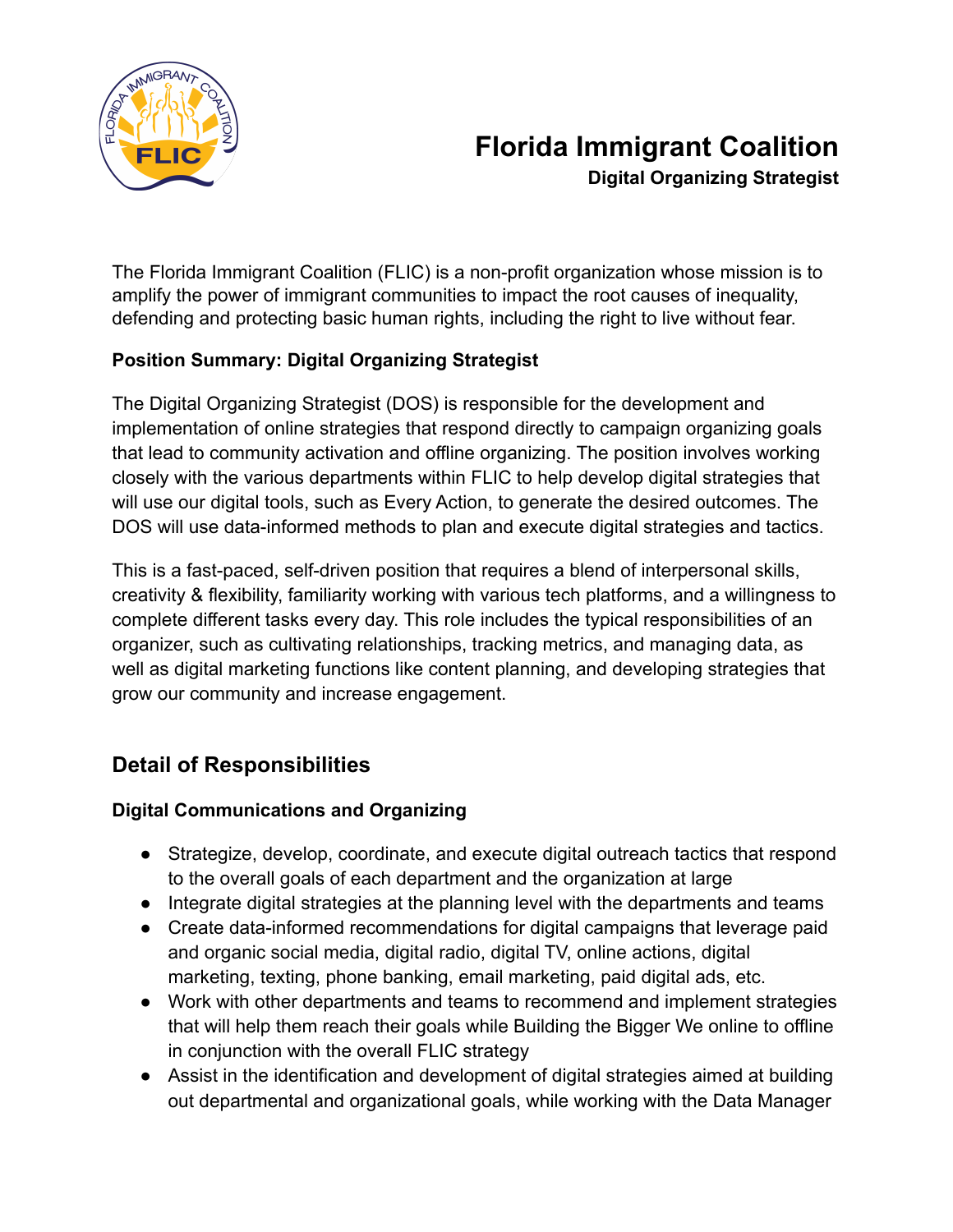

## **Florida Immigrant Coalition Digital Organizing Strategist**

The Florida Immigrant Coalition (FLIC) is a non-profit organization whose mission is to amplify the power of immigrant communities to impact the root causes of inequality, defending and protecting basic human rights, including the right to live without fear.

#### **Position Summary: Digital Organizing Strategist**

The Digital Organizing Strategist (DOS) is responsible for the development and implementation of online strategies that respond directly to campaign organizing goals that lead to community activation and offline organizing. The position involves working closely with the various departments within FLIC to help develop digital strategies that will use our digital tools, such as Every Action, to generate the desired outcomes. The DOS will use data-informed methods to plan and execute digital strategies and tactics.

This is a fast-paced, self-driven position that requires a blend of interpersonal skills, creativity & flexibility, familiarity working with various tech platforms, and a willingness to complete different tasks every day. This role includes the typical responsibilities of an organizer, such as cultivating relationships, tracking metrics, and managing data, as well as digital marketing functions like content planning, and developing strategies that grow our community and increase engagement.

### **Detail of Responsibilities**

#### **Digital Communications and Organizing**

- Strategize, develop, coordinate, and execute digital outreach tactics that respond to the overall goals of each department and the organization at large
- Integrate digital strategies at the planning level with the departments and teams
- Create data-informed recommendations for digital campaigns that leverage paid and organic social media, digital radio, digital TV, online actions, digital marketing, texting, phone banking, email marketing, paid digital ads, etc.
- Work with other departments and teams to recommend and implement strategies that will help them reach their goals while Building the Bigger We online to offline in conjunction with the overall FLIC strategy
- Assist in the identification and development of digital strategies aimed at building out departmental and organizational goals, while working with the Data Manager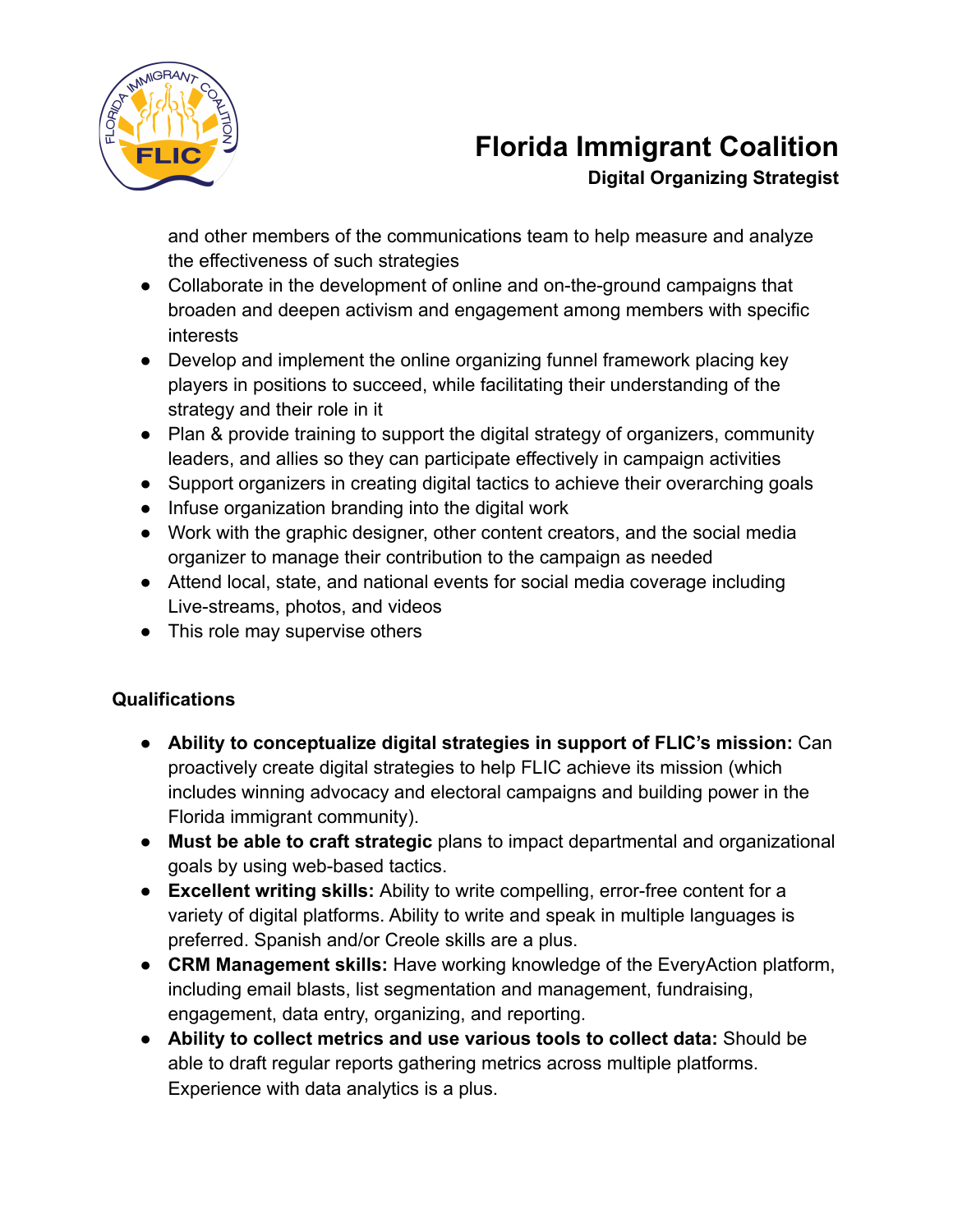

## **Florida Immigrant Coalition Digital Organizing Strategist**

and other members of the communications team to help measure and analyze the effectiveness of such strategies

- Collaborate in the development of online and on-the-ground campaigns that broaden and deepen activism and engagement among members with specific interests
- Develop and implement the online organizing funnel framework placing key players in positions to succeed, while facilitating their understanding of the strategy and their role in it
- Plan & provide training to support the digital strategy of organizers, community leaders, and allies so they can participate effectively in campaign activities
- Support organizers in creating digital tactics to achieve their overarching goals
- Infuse organization branding into the digital work
- Work with the graphic designer, other content creators, and the social media organizer to manage their contribution to the campaign as needed
- Attend local, state, and national events for social media coverage including Live-streams, photos, and videos
- This role may supervise others

#### **Qualifications**

- **Ability to conceptualize digital strategies in support of FLIC's mission:** Can proactively create digital strategies to help FLIC achieve its mission (which includes winning advocacy and electoral campaigns and building power in the Florida immigrant community).
- **Must be able to craft strategic** plans to impact departmental and organizational goals by using web-based tactics.
- **Excellent writing skills:** Ability to write compelling, error-free content for a variety of digital platforms. Ability to write and speak in multiple languages is preferred. Spanish and/or Creole skills are a plus.
- **CRM Management skills:** Have working knowledge of the EveryAction platform, including email blasts, list segmentation and management, fundraising, engagement, data entry, organizing, and reporting.
- **Ability to collect metrics and use various tools to collect data:** Should be able to draft regular reports gathering metrics across multiple platforms. Experience with data analytics is a plus.